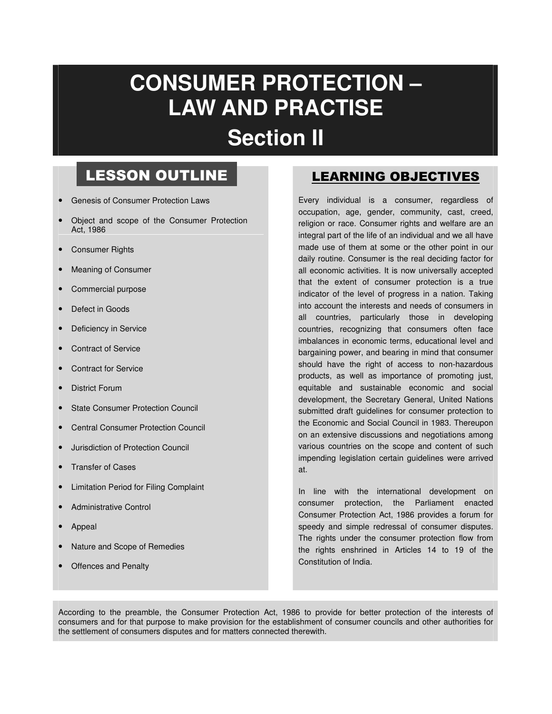# **CONSUMER PROTECTION – LAW AND PRACTISE Section II**

# **LESSON OUTLINE**

- Genesis of Consumer Protection Laws
- Object and scope of the Consumer Protection Act, 1986
- Consumer Rights
- Meaning of Consumer
- Commercial purpose
- Defect in Goods
- Deficiency in Service
- Contract of Service
- Contract for Service
- District Forum
- **State Consumer Protection Council**
- Central Consumer Protection Council
- Jurisdiction of Protection Council
- Transfer of Cases
- Limitation Period for Filing Complaint
- Administrative Control
- Appeal
- Nature and Scope of Remedies
- Offences and Penalty

# **LEARNING OBJECTIVES**

Every individual is a consumer, regardless of occupation, age, gender, community, cast, creed, religion or race. Consumer rights and welfare are an integral part of the life of an individual and we all have made use of them at some or the other point in our daily routine. Consumer is the real deciding factor for all economic activities. It is now universally accepted that the extent of consumer protection is a true indicator of the level of progress in a nation. Taking into account the interests and needs of consumers in all countries, particularly those in developing countries, recognizing that consumers often face imbalances in economic terms, educational level and bargaining power, and bearing in mind that consumer should have the right of access to non-hazardous products, as well as importance of promoting just, equitable and sustainable economic and social development, the Secretary General, United Nations submitted draft guidelines for consumer protection to the Economic and Social Council in 1983. Thereupon on an extensive discussions and negotiations among various countries on the scope and content of such impending legislation certain guidelines were arrived at.

In line with the international development on consumer protection, the Parliament enacted Consumer Protection Act, 1986 provides a forum for speedy and simple redressal of consumer disputes. The rights under the consumer protection flow from the rights enshrined in Articles 14 to 19 of the Constitution of India.

According to the preamble, the Consumer Protection Act, 1986 to provide for better protection of the interests of consumers and for that purpose to make provision for the establishment of consumer councils and other authorities for the settlement of consumers disputes and for matters connected therewith.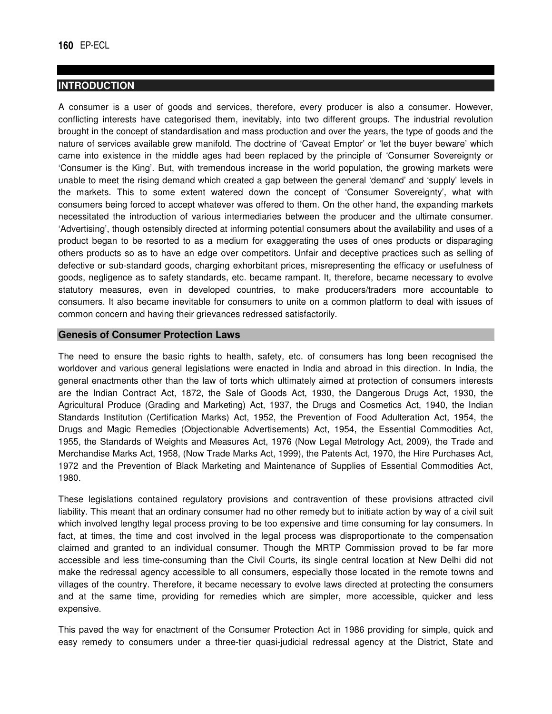#### **INTRODUCTION**

A consumer is a user of goods and services, therefore, every producer is also a consumer. However, conflicting interests have categorised them, inevitably, into two different groups. The industrial revolution brought in the concept of standardisation and mass production and over the years, the type of goods and the nature of services available grew manifold. The doctrine of 'Caveat Emptor' or 'let the buyer beware' which came into existence in the middle ages had been replaced by the principle of 'Consumer Sovereignty or 'Consumer is the King'. But, with tremendous increase in the world population, the growing markets were unable to meet the rising demand which created a gap between the general 'demand' and 'supply' levels in the markets. This to some extent watered down the concept of 'Consumer Sovereignty', what with consumers being forced to accept whatever was offered to them. On the other hand, the expanding markets necessitated the introduction of various intermediaries between the producer and the ultimate consumer. 'Advertising', though ostensibly directed at informing potential consumers about the availability and uses of a product began to be resorted to as a medium for exaggerating the uses of ones products or disparaging others products so as to have an edge over competitors. Unfair and deceptive practices such as selling of defective or sub-standard goods, charging exhorbitant prices, misrepresenting the efficacy or usefulness of goods, negligence as to safety standards, etc. became rampant. It, therefore, became necessary to evolve statutory measures, even in developed countries, to make producers/traders more accountable to consumers. It also became inevitable for consumers to unite on a common platform to deal with issues of common concern and having their grievances redressed satisfactorily.

#### **Genesis of Consumer Protection Laws**

The need to ensure the basic rights to health, safety, etc. of consumers has long been recognised the worldover and various general legislations were enacted in India and abroad in this direction. In India, the general enactments other than the law of torts which ultimately aimed at protection of consumers interests are the Indian Contract Act, 1872, the Sale of Goods Act, 1930, the Dangerous Drugs Act, 1930, the Agricultural Produce (Grading and Marketing) Act, 1937, the Drugs and Cosmetics Act, 1940, the Indian Standards Institution (Certification Marks) Act, 1952, the Prevention of Food Adulteration Act, 1954, the Drugs and Magic Remedies (Objectionable Advertisements) Act, 1954, the Essential Commodities Act, 1955, the Standards of Weights and Measures Act, 1976 (Now Legal Metrology Act, 2009), the Trade and Merchandise Marks Act, 1958, (Now Trade Marks Act, 1999), the Patents Act, 1970, the Hire Purchases Act, 1972 and the Prevention of Black Marketing and Maintenance of Supplies of Essential Commodities Act, 1980.

These legislations contained regulatory provisions and contravention of these provisions attracted civil liability. This meant that an ordinary consumer had no other remedy but to initiate action by way of a civil suit which involved lengthy legal process proving to be too expensive and time consuming for lay consumers. In fact, at times, the time and cost involved in the legal process was disproportionate to the compensation claimed and granted to an individual consumer. Though the MRTP Commission proved to be far more accessible and less time-consuming than the Civil Courts, its single central location at New Delhi did not make the redressal agency accessible to all consumers, especially those located in the remote towns and villages of the country. Therefore, it became necessary to evolve laws directed at protecting the consumers and at the same time, providing for remedies which are simpler, more accessible, quicker and less expensive.

This paved the way for enactment of the Consumer Protection Act in 1986 providing for simple, quick and easy remedy to consumers under a three-tier quasi-judicial redressal agency at the District, State and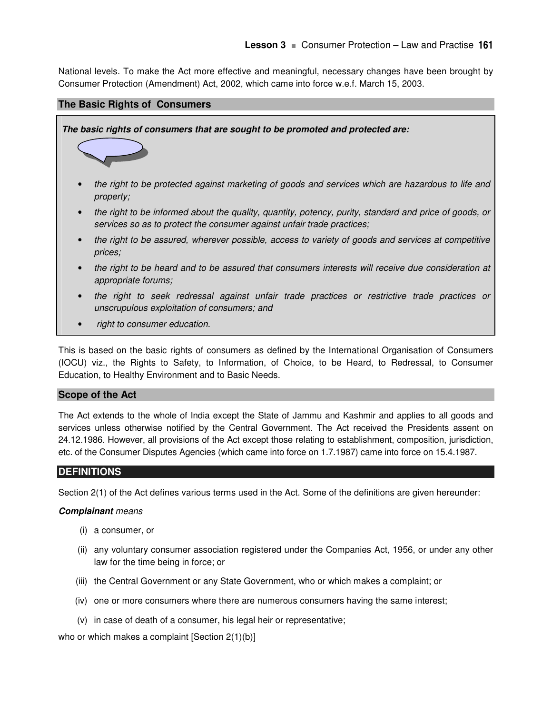National levels. To make the Act more effective and meaningful, necessary changes have been brought by Consumer Protection (Amendment) Act, 2002, which came into force w.e.f. March 15, 2003.

#### **The Basic Rights of Consumers**

**The basic rights of consumers that are sought to be promoted and protected are:** 



- *the right to be protected against marketing of goods and services which are hazardous to life and property;*
- *the right to be informed about the quality, quantity, potency, purity, standard and price of goods, or services so as to protect the consumer against unfair trade practices;*
- *the right to be assured, wherever possible, access to variety of goods and services at competitive prices;*
- *the right to be heard and to be assured that consumers interests will receive due consideration at appropriate forums;*
- *the right to seek redressal against unfair trade practices or restrictive trade practices or unscrupulous exploitation of consumers; and*
- • *right to consumer education.*

This is based on the basic rights of consumers as defined by the International Organisation of Consumers (IOCU) viz., the Rights to Safety, to Information, of Choice, to be Heard, to Redressal, to Consumer Education, to Healthy Environment and to Basic Needs.

#### **Scope of the Act**

The Act extends to the whole of India except the State of Jammu and Kashmir and applies to all goods and services unless otherwise notified by the Central Government. The Act received the Presidents assent on 24.12.1986. However, all provisions of the Act except those relating to establishment, composition, jurisdiction, etc. of the Consumer Disputes Agencies (which came into force on 1.7.1987) came into force on 15.4.1987.

#### **DEFINITIONS**

Section 2(1) of the Act defines various terms used in the Act. Some of the definitions are given hereunder:

#### **Complainant** *means*

- (i) a consumer, or
- (ii) any voluntary consumer association registered under the Companies Act, 1956, or under any other law for the time being in force; or
- (iii) the Central Government or any State Government, who or which makes a complaint; or
- (iv) one or more consumers where there are numerous consumers having the same interest;
- (v) in case of death of a consumer, his legal heir or representative;

who or which makes a complaint [Section 2(1)(b)]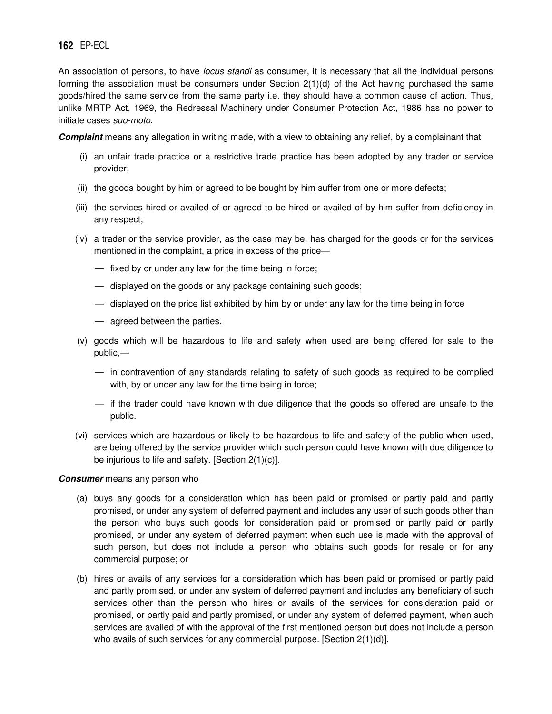An association of persons, to have *locus standi* as consumer, it is necessary that all the individual persons forming the association must be consumers under Section 2(1)(d) of the Act having purchased the same goods/hired the same service from the same party i.e. they should have a common cause of action. Thus, unlike MRTP Act, 1969, the Redressal Machinery under Consumer Protection Act, 1986 has no power to initiate cases *suo-moto*.

**Complaint** means any allegation in writing made, with a view to obtaining any relief, by a complainant that

- (i) an unfair trade practice or a restrictive trade practice has been adopted by any trader or service provider;
- (ii) the goods bought by him or agreed to be bought by him suffer from one or more defects;
- (iii) the services hired or availed of or agreed to be hired or availed of by him suffer from deficiency in any respect;
- (iv) a trader or the service provider, as the case may be, has charged for the goods or for the services mentioned in the complaint, a price in excess of the price—
	- fixed by or under any law for the time being in force;
	- displayed on the goods or any package containing such goods;
	- displayed on the price list exhibited by him by or under any law for the time being in force
	- agreed between the parties.
- (v) goods which will be hazardous to life and safety when used are being offered for sale to the public,—
	- in contravention of any standards relating to safety of such goods as required to be complied with, by or under any law for the time being in force;
	- if the trader could have known with due diligence that the goods so offered are unsafe to the public.
- (vi) services which are hazardous or likely to be hazardous to life and safety of the public when used, are being offered by the service provider which such person could have known with due diligence to be injurious to life and safety. [Section 2(1)(c)].

#### **Consumer** means any person who

- (a) buys any goods for a consideration which has been paid or promised or partly paid and partly promised, or under any system of deferred payment and includes any user of such goods other than the person who buys such goods for consideration paid or promised or partly paid or partly promised, or under any system of deferred payment when such use is made with the approval of such person, but does not include a person who obtains such goods for resale or for any commercial purpose; or
- (b) hires or avails of any services for a consideration which has been paid or promised or partly paid and partly promised, or under any system of deferred payment and includes any beneficiary of such services other than the person who hires or avails of the services for consideration paid or promised, or partly paid and partly promised, or under any system of deferred payment, when such services are availed of with the approval of the first mentioned person but does not include a person who avails of such services for any commercial purpose. [Section 2(1)(d)].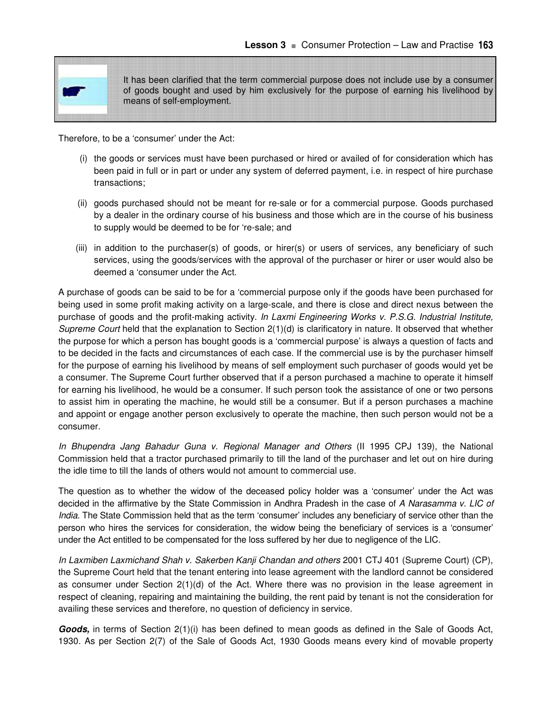

It has been clarified that the term commercial purpose does not include use by a consumer of goods bought and used by him exclusively for the purpose of earning his livelihood by means of self-employment.

Therefore, to be a 'consumer' under the Act:

- (i) the goods or services must have been purchased or hired or availed of for consideration which has been paid in full or in part or under any system of deferred payment, i.e. in respect of hire purchase transactions;
- (ii) goods purchased should not be meant for re-sale or for a commercial purpose. Goods purchased by a dealer in the ordinary course of his business and those which are in the course of his business to supply would be deemed to be for 're-sale; and
- (iii) in addition to the purchaser(s) of goods, or hirer(s) or users of services, any beneficiary of such services, using the goods/services with the approval of the purchaser or hirer or user would also be deemed a 'consumer under the Act.

A purchase of goods can be said to be for a 'commercial purpose only if the goods have been purchased for being used in some profit making activity on a large-scale, and there is close and direct nexus between the purchase of goods and the profit-making activity. *In Laxmi Engineering Works v. P.S.G. Industrial Institute, Supreme Court* held that the explanation to Section 2(1)(d) is clarificatory in nature. It observed that whether the purpose for which a person has bought goods is a 'commercial purpose' is always a question of facts and to be decided in the facts and circumstances of each case. If the commercial use is by the purchaser himself for the purpose of earning his livelihood by means of self employment such purchaser of goods would yet be a consumer. The Supreme Court further observed that if a person purchased a machine to operate it himself for earning his livelihood, he would be a consumer. If such person took the assistance of one or two persons to assist him in operating the machine, he would still be a consumer. But if a person purchases a machine and appoint or engage another person exclusively to operate the machine, then such person would not be a consumer.

*In Bhupendra Jang Bahadur Guna v. Regional Manager and Others* (II 1995 CPJ 139), the National Commission held that a tractor purchased primarily to till the land of the purchaser and let out on hire during the idle time to till the lands of others would not amount to commercial use.

The question as to whether the widow of the deceased policy holder was a 'consumer' under the Act was decided in the affirmative by the State Commission in Andhra Pradesh in the case of *A Narasamma v. LIC of India.* The State Commission held that as the term 'consumer' includes any beneficiary of service other than the person who hires the services for consideration, the widow being the beneficiary of services is a 'consumer' under the Act entitled to be compensated for the loss suffered by her due to negligence of the LIC.

*In Laxmiben Laxmichand Shah v. Sakerben Kanji Chandan and others* 2001 CTJ 401 (Supreme Court) (CP), the Supreme Court held that the tenant entering into lease agreement with the landlord cannot be considered as consumer under Section 2(1)(d) of the Act. Where there was no provision in the lease agreement in respect of cleaning, repairing and maintaining the building, the rent paid by tenant is not the consideration for availing these services and therefore, no question of deficiency in service.

Goods, in terms of Section 2(1)(i) has been defined to mean goods as defined in the Sale of Goods Act, 1930. As per Section 2(7) of the Sale of Goods Act, 1930 Goods means every kind of movable property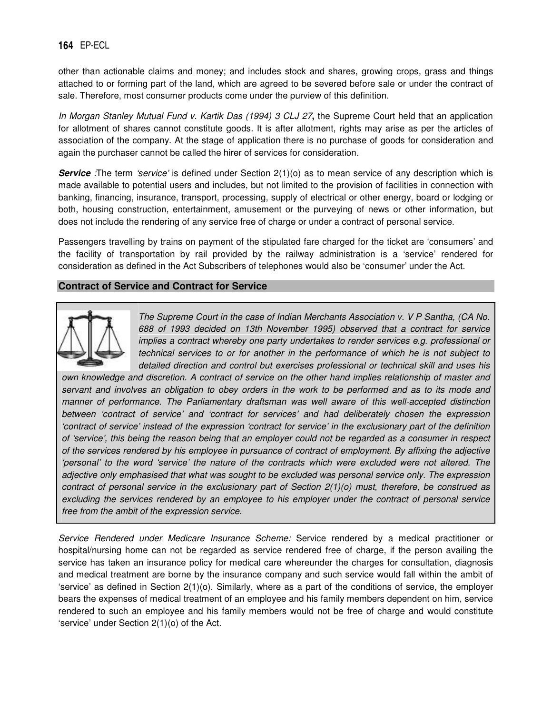other than actionable claims and money; and includes stock and shares, growing crops, grass and things attached to or forming part of the land, which are agreed to be severed before sale or under the contract of sale. Therefore, most consumer products come under the purview of this definition.

*In Morgan Stanley Mutual Fund v. Kartik Das (1994) 3 CLJ 27***,** the Supreme Court held that an application for allotment of shares cannot constitute goods. It is after allotment, rights may arise as per the articles of association of the company. At the stage of application there is no purchase of goods for consideration and again the purchaser cannot be called the hirer of services for consideration.

**Service** *:*The term *'service'* is defined under Section 2(1)(o) as to mean service of any description which is made available to potential users and includes, but not limited to the provision of facilities in connection with banking, financing, insurance, transport, processing, supply of electrical or other energy, board or lodging or both, housing construction, entertainment, amusement or the purveying of news or other information, but does not include the rendering of any service free of charge or under a contract of personal service.

Passengers travelling by trains on payment of the stipulated fare charged for the ticket are 'consumers' and the facility of transportation by rail provided by the railway administration is a 'service' rendered for consideration as defined in the Act Subscribers of telephones would also be 'consumer' under the Act.

#### **Contract of Service and Contract for Service**



*The Supreme Court in the case of Indian Merchants Association v. V P Santha, (CA No. 688 of 1993 decided on 13th November 1995) observed that a contract for service implies a contract whereby one party undertakes to render services e.g. professional or technical services to or for another in the performance of which he is not subject to detailed direction and control but exercises professional or technical skill and uses his* 

*own knowledge and discretion. A contract of service on the other hand implies relationship of master and servant and involves an obligation to obey orders in the work to be performed and as to its mode and manner of performance. The Parliamentary draftsman was well aware of this well-accepted distinction between 'contract of service' and 'contract for services' and had deliberately chosen the expression 'contract of service' instead of the expression 'contract for service' in the exclusionary part of the definition of 'service', this being the reason being that an employer could not be regarded as a consumer in respect of the services rendered by his employee in pursuance of contract of employment. By affixing the adjective 'personal' to the word 'service' the nature of the contracts which were excluded were not altered. The adjective only emphasised that what was sought to be excluded was personal service only. The expression contract of personal service in the exclusionary part of Section 2(1)(o) must, therefore, be construed as excluding the services rendered by an employee to his employer under the contract of personal service free from the ambit of the expression service.* 

*Service Rendered under Medicare Insurance Scheme:* Service rendered by a medical practitioner or hospital/nursing home can not be regarded as service rendered free of charge, if the person availing the service has taken an insurance policy for medical care whereunder the charges for consultation, diagnosis and medical treatment are borne by the insurance company and such service would fall within the ambit of 'service' as defined in Section 2(1)(o). Similarly, where as a part of the conditions of service, the employer bears the expenses of medical treatment of an employee and his family members dependent on him, service rendered to such an employee and his family members would not be free of charge and would constitute 'service' under Section 2(1)(o) of the Act.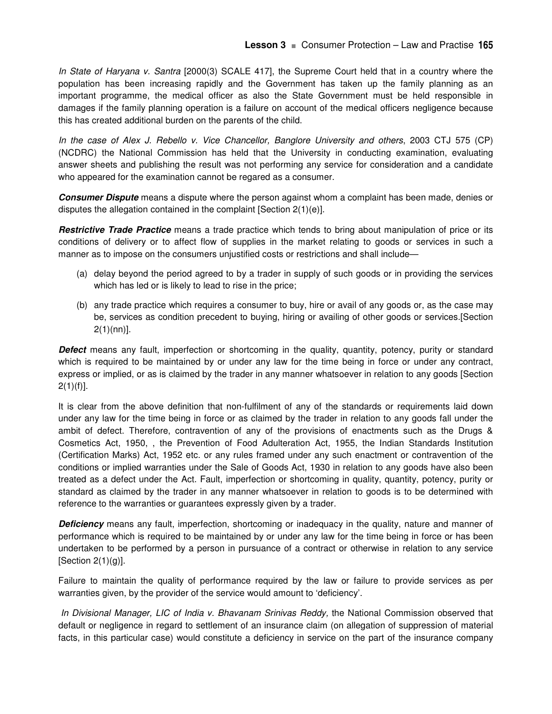*In State of Haryana v. Santra* [2000(3) SCALE 417], the Supreme Court held that in a country where the population has been increasing rapidly and the Government has taken up the family planning as an important programme, the medical officer as also the State Government must be held responsible in damages if the family planning operation is a failure on account of the medical officers negligence because this has created additional burden on the parents of the child.

*In the case of Alex J. Rebello v. Vice Chancellor, Banglore University and others*, 2003 CTJ 575 (CP) (NCDRC) the National Commission has held that the University in conducting examination, evaluating answer sheets and publishing the result was not performing any service for consideration and a candidate who appeared for the examination cannot be regared as a consumer.

**Consumer Dispute** means a dispute where the person against whom a complaint has been made, denies or disputes the allegation contained in the complaint [Section 2(1)(e)].

**Restrictive Trade Practice** means a trade practice which tends to bring about manipulation of price or its conditions of delivery or to affect flow of supplies in the market relating to goods or services in such a manner as to impose on the consumers unjustified costs or restrictions and shall include—

- (a) delay beyond the period agreed to by a trader in supply of such goods or in providing the services which has led or is likely to lead to rise in the price;
- (b) any trade practice which requires a consumer to buy, hire or avail of any goods or, as the case may be, services as condition precedent to buying, hiring or availing of other goods or services.[Section 2(1)(nn)].

**Defect** means any fault, imperfection or shortcoming in the quality, quantity, potency, purity or standard which is required to be maintained by or under any law for the time being in force or under any contract, express or implied, or as is claimed by the trader in any manner whatsoever in relation to any goods [Section 2(1)(f)].

It is clear from the above definition that non-fulfilment of any of the standards or requirements laid down under any law for the time being in force or as claimed by the trader in relation to any goods fall under the ambit of defect. Therefore, contravention of any of the provisions of enactments such as the Drugs & Cosmetics Act, 1950, , the Prevention of Food Adulteration Act, 1955, the Indian Standards Institution (Certification Marks) Act, 1952 etc. or any rules framed under any such enactment or contravention of the conditions or implied warranties under the Sale of Goods Act, 1930 in relation to any goods have also been treated as a defect under the Act. Fault, imperfection or shortcoming in quality, quantity, potency, purity or standard as claimed by the trader in any manner whatsoever in relation to goods is to be determined with reference to the warranties or guarantees expressly given by a trader.

**Deficiency** means any fault, imperfection, shortcoming or inadequacy in the quality, nature and manner of performance which is required to be maintained by or under any law for the time being in force or has been undertaken to be performed by a person in pursuance of a contract or otherwise in relation to any service [Section 2(1)(g)].

Failure to maintain the quality of performance required by the law or failure to provide services as per warranties given, by the provider of the service would amount to 'deficiency'.

 *In Divisional Manager, LIC of India v. Bhavanam Srinivas Reddy,* the National Commission observed that default or negligence in regard to settlement of an insurance claim (on allegation of suppression of material facts, in this particular case) would constitute a deficiency in service on the part of the insurance company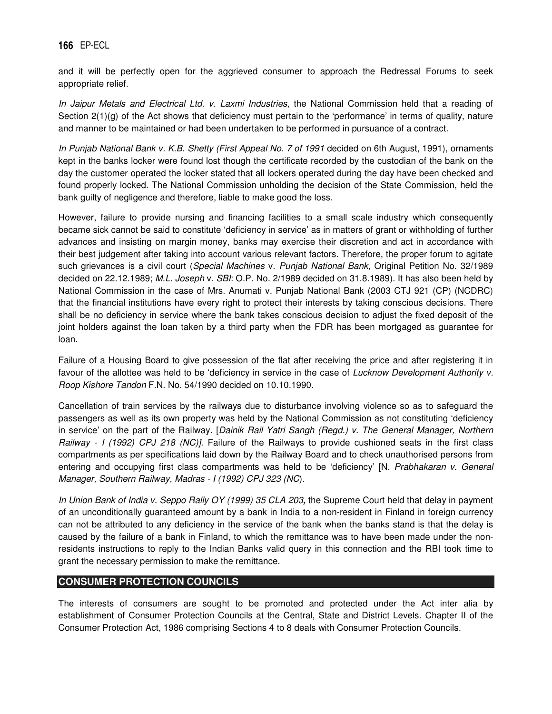and it will be perfectly open for the aggrieved consumer to approach the Redressal Forums to seek appropriate relief.

*In Jaipur Metals and Electrical Ltd. v. Laxmi Industries,* the National Commission held that a reading of Section 2(1)(g) of the Act shows that deficiency must pertain to the 'performance' in terms of quality, nature and manner to be maintained or had been undertaken to be performed in pursuance of a contract.

*In Punjab National Bank v. K.B. Shetty (First Appeal No. 7 of 1991* decided on 6th August, 1991), ornaments kept in the banks locker were found lost though the certificate recorded by the custodian of the bank on the day the customer operated the locker stated that all lockers operated during the day have been checked and found properly locked. The National Commission unholding the decision of the State Commission, held the bank guilty of negligence and therefore, liable to make good the loss.

However, failure to provide nursing and financing facilities to a small scale industry which consequently became sick cannot be said to constitute 'deficiency in service' as in matters of grant or withholding of further advances and insisting on margin money, banks may exercise their discretion and act in accordance with their best judgement after taking into account various relevant factors. Therefore, the proper forum to agitate such grievances is a civil court (*Special Machines* v. *Punjab National Bank,* Original Petition No. 32/1989 decided on 22.12.1989; *M.L. Joseph* v. *SBI*: O.P. No. 2/1989 decided on 31.8.1989). It has also been held by National Commission in the case of Mrs. Anumati v. Punjab National Bank (2003 CTJ 921 (CP) (NCDRC) that the financial institutions have every right to protect their interests by taking conscious decisions. There shall be no deficiency in service where the bank takes conscious decision to adjust the fixed deposit of the joint holders against the loan taken by a third party when the FDR has been mortgaged as guarantee for loan.

Failure of a Housing Board to give possession of the flat after receiving the price and after registering it in favour of the allottee was held to be 'deficiency in service in the case of *Lucknow Development Authority v. Roop Kishore Tandon* F.N. No. 54/1990 decided on 10.10.1990.

Cancellation of train services by the railways due to disturbance involving violence so as to safeguard the passengers as well as its own property was held by the National Commission as not constituting 'deficiency in service' on the part of the Railway. [*Dainik Rail Yatri Sangh (Regd.) v. The General Manager, Northern Railway - I (1992) CPJ 218 (NC)]*. Failure of the Railways to provide cushioned seats in the first class compartments as per specifications laid down by the Railway Board and to check unauthorised persons from entering and occupying first class compartments was held to be 'deficiency' [N. *Prabhakaran v. General Manager, Southern Railway, Madras - I (1992) CPJ 323 (NC*).

*In Union Bank of India v. Seppo Rally OY (1999) 35 CLA 203***,** the Supreme Court held that delay in payment of an unconditionally guaranteed amount by a bank in India to a non-resident in Finland in foreign currency can not be attributed to any deficiency in the service of the bank when the banks stand is that the delay is caused by the failure of a bank in Finland, to which the remittance was to have been made under the nonresidents instructions to reply to the Indian Banks valid query in this connection and the RBI took time to grant the necessary permission to make the remittance.

# **CONSUMER PROTECTION COUNCILS**

The interests of consumers are sought to be promoted and protected under the Act inter alia by establishment of Consumer Protection Councils at the Central, State and District Levels. Chapter II of the Consumer Protection Act, 1986 comprising Sections 4 to 8 deals with Consumer Protection Councils.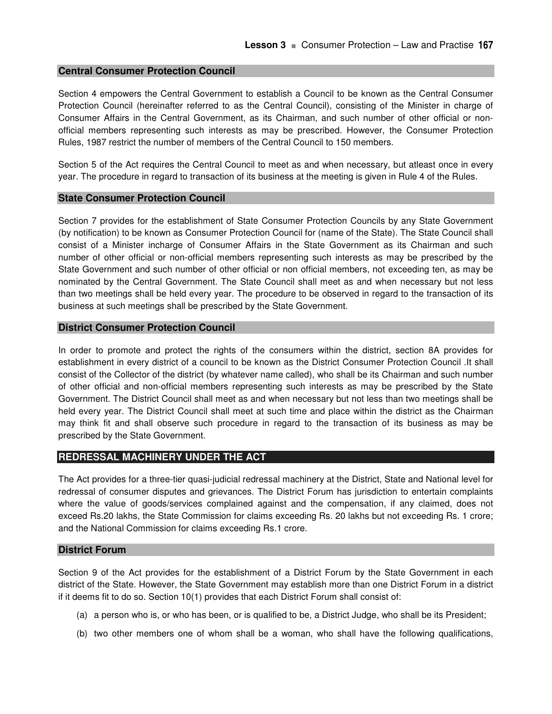#### **Central Consumer Protection Council**

Section 4 empowers the Central Government to establish a Council to be known as the Central Consumer Protection Council (hereinafter referred to as the Central Council), consisting of the Minister in charge of Consumer Affairs in the Central Government, as its Chairman, and such number of other official or nonofficial members representing such interests as may be prescribed. However, the Consumer Protection Rules, 1987 restrict the number of members of the Central Council to 150 members.

Section 5 of the Act requires the Central Council to meet as and when necessary, but atleast once in every year. The procedure in regard to transaction of its business at the meeting is given in Rule 4 of the Rules.

#### **State Consumer Protection Council**

Section 7 provides for the establishment of State Consumer Protection Councils by any State Government (by notification) to be known as Consumer Protection Council for (name of the State). The State Council shall consist of a Minister incharge of Consumer Affairs in the State Government as its Chairman and such number of other official or non-official members representing such interests as may be prescribed by the State Government and such number of other official or non official members, not exceeding ten, as may be nominated by the Central Government. The State Council shall meet as and when necessary but not less than two meetings shall be held every year. The procedure to be observed in regard to the transaction of its business at such meetings shall be prescribed by the State Government.

#### **District Consumer Protection Council**

In order to promote and protect the rights of the consumers within the district, section 8A provides for establishment in every district of a council to be known as the District Consumer Protection Council .It shall consist of the Collector of the district (by whatever name called), who shall be its Chairman and such number of other official and non-official members representing such interests as may be prescribed by the State Government. The District Council shall meet as and when necessary but not less than two meetings shall be held every year. The District Council shall meet at such time and place within the district as the Chairman may think fit and shall observe such procedure in regard to the transaction of its business as may be prescribed by the State Government.

#### **REDRESSAL MACHINERY UNDER THE ACT**

The Act provides for a three-tier quasi-judicial redressal machinery at the District, State and National level for redressal of consumer disputes and grievances. The District Forum has jurisdiction to entertain complaints where the value of goods/services complained against and the compensation, if any claimed, does not exceed Rs.20 lakhs, the State Commission for claims exceeding Rs. 20 lakhs but not exceeding Rs. 1 crore; and the National Commission for claims exceeding Rs.1 crore.

#### **District Forum**

Section 9 of the Act provides for the establishment of a District Forum by the State Government in each district of the State. However, the State Government may establish more than one District Forum in a district if it deems fit to do so. Section 10(1) provides that each District Forum shall consist of:

- (a) a person who is, or who has been, or is qualified to be, a District Judge, who shall be its President;
- (b) two other members one of whom shall be a woman, who shall have the following qualifications,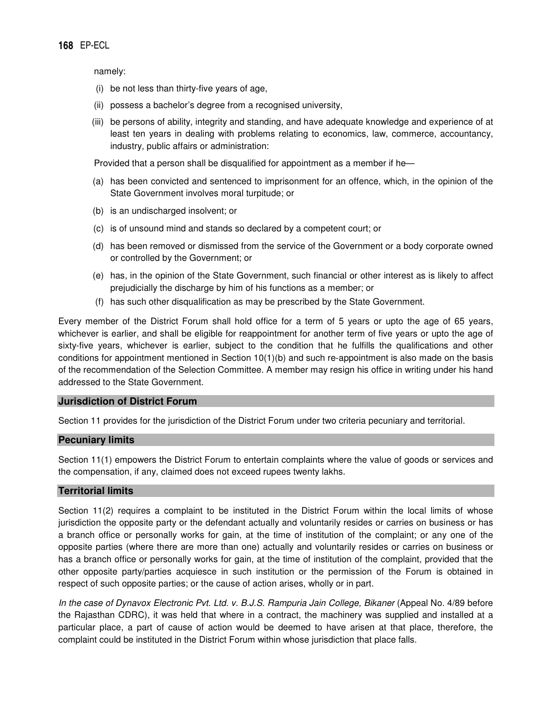namely:

- (i) be not less than thirty-five years of age,
- (ii) possess a bachelor's degree from a recognised university,
- (iii) be persons of ability, integrity and standing, and have adequate knowledge and experience of at least ten years in dealing with problems relating to economics, law, commerce, accountancy, industry, public affairs or administration:

Provided that a person shall be disqualified for appointment as a member if he—

- (a) has been convicted and sentenced to imprisonment for an offence, which, in the opinion of the State Government involves moral turpitude; or
- (b) is an undischarged insolvent; or
- (c) is of unsound mind and stands so declared by a competent court; or
- (d) has been removed or dismissed from the service of the Government or a body corporate owned or controlled by the Government; or
- (e) has, in the opinion of the State Government, such financial or other interest as is likely to affect prejudicially the discharge by him of his functions as a member; or
- (f) has such other disqualification as may be prescribed by the State Government.

Every member of the District Forum shall hold office for a term of 5 years or upto the age of 65 years, whichever is earlier, and shall be eligible for reappointment for another term of five years or upto the age of sixty-five years, whichever is earlier, subject to the condition that he fulfills the qualifications and other conditions for appointment mentioned in Section 10(1)(b) and such re-appointment is also made on the basis of the recommendation of the Selection Committee. A member may resign his office in writing under his hand addressed to the State Government.

#### **Jurisdiction of District Forum**

Section 11 provides for the jurisdiction of the District Forum under two criteria pecuniary and territorial.

#### **Pecuniary limits**

Section 11(1) empowers the District Forum to entertain complaints where the value of goods or services and the compensation, if any, claimed does not exceed rupees twenty lakhs.

#### **Territorial limits**

Section 11(2) requires a complaint to be instituted in the District Forum within the local limits of whose jurisdiction the opposite party or the defendant actually and voluntarily resides or carries on business or has a branch office or personally works for gain, at the time of institution of the complaint; or any one of the opposite parties (where there are more than one) actually and voluntarily resides or carries on business or has a branch office or personally works for gain, at the time of institution of the complaint, provided that the other opposite party/parties acquiesce in such institution or the permission of the Forum is obtained in respect of such opposite parties; or the cause of action arises, wholly or in part.

*In the case of Dynavox Electronic Pvt. Ltd. v. B.J.S. Rampuria Jain College, Bikaner* (Appeal No. 4/89 before the Rajasthan CDRC), it was held that where in a contract, the machinery was supplied and installed at a particular place, a part of cause of action would be deemed to have arisen at that place, therefore, the complaint could be instituted in the District Forum within whose jurisdiction that place falls.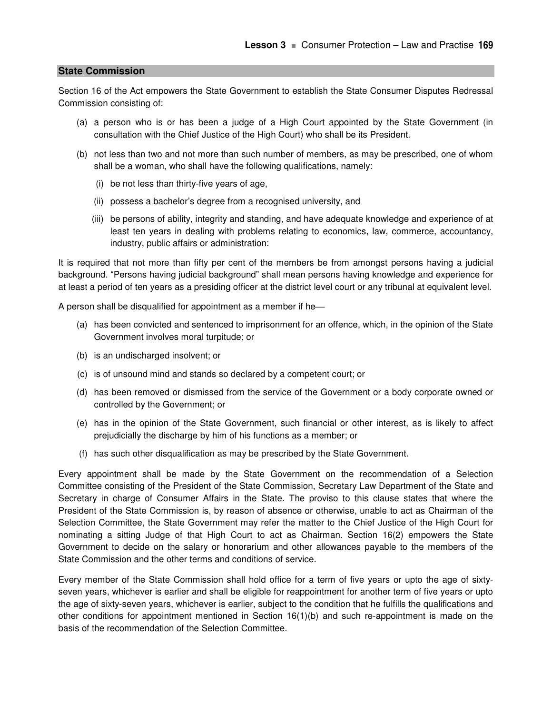#### **State Commission**

Section 16 of the Act empowers the State Government to establish the State Consumer Disputes Redressal Commission consisting of:

- (a) a person who is or has been a judge of a High Court appointed by the State Government (in consultation with the Chief Justice of the High Court) who shall be its President.
- (b) not less than two and not more than such number of members, as may be prescribed, one of whom shall be a woman, who shall have the following qualifications, namely:
	- (i) be not less than thirty-five years of age,
	- (ii) possess a bachelor's degree from a recognised university, and
	- (iii) be persons of ability, integrity and standing, and have adequate knowledge and experience of at least ten years in dealing with problems relating to economics, law, commerce, accountancy, industry, public affairs or administration:

It is required that not more than fifty per cent of the members be from amongst persons having a judicial background. "Persons having judicial background" shall mean persons having knowledge and experience for at least a period of ten years as a presiding officer at the district level court or any tribunal at equivalent level.

A person shall be disqualified for appointment as a member if he

- (a) has been convicted and sentenced to imprisonment for an offence, which, in the opinion of the State Government involves moral turpitude; or
- (b) is an undischarged insolvent; or
- (c) is of unsound mind and stands so declared by a competent court; or
- (d) has been removed or dismissed from the service of the Government or a body corporate owned or controlled by the Government; or
- (e) has in the opinion of the State Government, such financial or other interest, as is likely to affect prejudicially the discharge by him of his functions as a member; or
- (f) has such other disqualification as may be prescribed by the State Government.

Every appointment shall be made by the State Government on the recommendation of a Selection Committee consisting of the President of the State Commission, Secretary Law Department of the State and Secretary in charge of Consumer Affairs in the State. The proviso to this clause states that where the President of the State Commission is, by reason of absence or otherwise, unable to act as Chairman of the Selection Committee, the State Government may refer the matter to the Chief Justice of the High Court for nominating a sitting Judge of that High Court to act as Chairman. Section 16(2) empowers the State Government to decide on the salary or honorarium and other allowances payable to the members of the State Commission and the other terms and conditions of service.

Every member of the State Commission shall hold office for a term of five years or upto the age of sixtyseven years, whichever is earlier and shall be eligible for reappointment for another term of five years or upto the age of sixty-seven years, whichever is earlier, subject to the condition that he fulfills the qualifications and other conditions for appointment mentioned in Section 16(1)(b) and such re-appointment is made on the basis of the recommendation of the Selection Committee.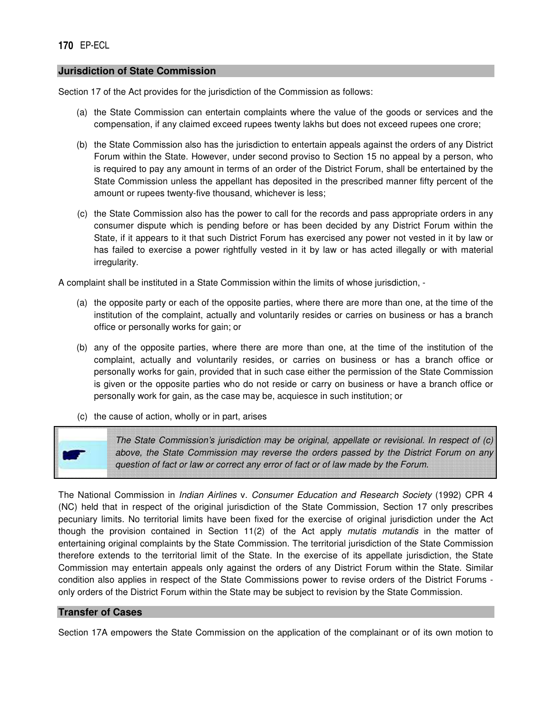#### **Jurisdiction of State Commission**

Section 17 of the Act provides for the jurisdiction of the Commission as follows:

- (a) the State Commission can entertain complaints where the value of the goods or services and the compensation, if any claimed exceed rupees twenty lakhs but does not exceed rupees one crore;
- (b) the State Commission also has the jurisdiction to entertain appeals against the orders of any District Forum within the State. However, under second proviso to Section 15 no appeal by a person, who is required to pay any amount in terms of an order of the District Forum, shall be entertained by the State Commission unless the appellant has deposited in the prescribed manner fifty percent of the amount or rupees twenty-five thousand, whichever is less;
- (c) the State Commission also has the power to call for the records and pass appropriate orders in any consumer dispute which is pending before or has been decided by any District Forum within the State, if it appears to it that such District Forum has exercised any power not vested in it by law or has failed to exercise a power rightfully vested in it by law or has acted illegally or with material irregularity.

A complaint shall be instituted in a State Commission within the limits of whose jurisdiction, -

- (a) the opposite party or each of the opposite parties, where there are more than one, at the time of the institution of the complaint, actually and voluntarily resides or carries on business or has a branch office or personally works for gain; or
- (b) any of the opposite parties, where there are more than one, at the time of the institution of the complaint, actually and voluntarily resides, or carries on business or has a branch office or personally works for gain, provided that in such case either the permission of the State Commission is given or the opposite parties who do not reside or carry on business or have a branch office or personally work for gain, as the case may be, acquiesce in such institution; or
- (c) the cause of action, wholly or in part, arises



*The State Commission's jurisdiction may be original, appellate or revisional. In respect of (c) above, the State Commission may reverse the orders passed by the District Forum on any question of fact or law or correct any error of fact or of law made by the Forum.* 

The National Commission in *Indian Airlines* v. *Consumer Education and Research Society* (1992) CPR 4 (NC) held that in respect of the original jurisdiction of the State Commission, Section 17 only prescribes pecuniary limits. No territorial limits have been fixed for the exercise of original jurisdiction under the Act though the provision contained in Section 11(2) of the Act apply *mutatis mutandis* in the matter of entertaining original complaints by the State Commission. The territorial jurisdiction of the State Commission therefore extends to the territorial limit of the State. In the exercise of its appellate jurisdiction, the State Commission may entertain appeals only against the orders of any District Forum within the State. Similar condition also applies in respect of the State Commissions power to revise orders of the District Forums only orders of the District Forum within the State may be subject to revision by the State Commission.

#### **Transfer of Cases**

Section 17A empowers the State Commission on the application of the complainant or of its own motion to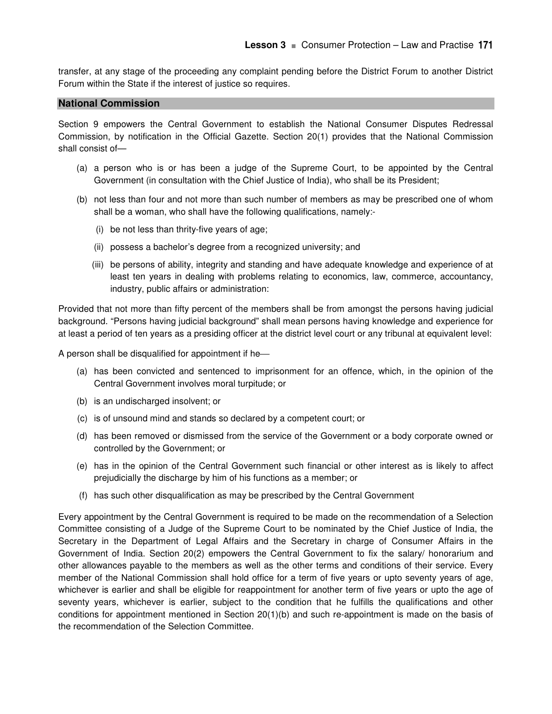transfer, at any stage of the proceeding any complaint pending before the District Forum to another District Forum within the State if the interest of justice so requires.

#### **National Commission**

Section 9 empowers the Central Government to establish the National Consumer Disputes Redressal Commission, by notification in the Official Gazette. Section 20(1) provides that the National Commission shall consist of—

- (a) a person who is or has been a judge of the Supreme Court, to be appointed by the Central Government (in consultation with the Chief Justice of India), who shall be its President;
- (b) not less than four and not more than such number of members as may be prescribed one of whom shall be a woman, who shall have the following qualifications, namely:-
	- (i) be not less than thrity-five years of age;
	- (ii) possess a bachelor's degree from a recognized university; and
	- (iii) be persons of ability, integrity and standing and have adequate knowledge and experience of at least ten years in dealing with problems relating to economics, law, commerce, accountancy, industry, public affairs or administration:

Provided that not more than fifty percent of the members shall be from amongst the persons having judicial background. "Persons having judicial background" shall mean persons having knowledge and experience for at least a period of ten years as a presiding officer at the district level court or any tribunal at equivalent level:

A person shall be disqualified for appointment if he

- (a) has been convicted and sentenced to imprisonment for an offence, which, in the opinion of the Central Government involves moral turpitude; or
- (b) is an undischarged insolvent; or
- (c) is of unsound mind and stands so declared by a competent court; or
- (d) has been removed or dismissed from the service of the Government or a body corporate owned or controlled by the Government; or
- (e) has in the opinion of the Central Government such financial or other interest as is likely to affect prejudicially the discharge by him of his functions as a member; or
- (f) has such other disqualification as may be prescribed by the Central Government

Every appointment by the Central Government is required to be made on the recommendation of a Selection Committee consisting of a Judge of the Supreme Court to be nominated by the Chief Justice of India, the Secretary in the Department of Legal Affairs and the Secretary in charge of Consumer Affairs in the Government of India. Section 20(2) empowers the Central Government to fix the salary/ honorarium and other allowances payable to the members as well as the other terms and conditions of their service. Every member of the National Commission shall hold office for a term of five years or upto seventy years of age, whichever is earlier and shall be eligible for reappointment for another term of five years or upto the age of seventy years, whichever is earlier, subject to the condition that he fulfills the qualifications and other conditions for appointment mentioned in Section 20(1)(b) and such re-appointment is made on the basis of the recommendation of the Selection Committee.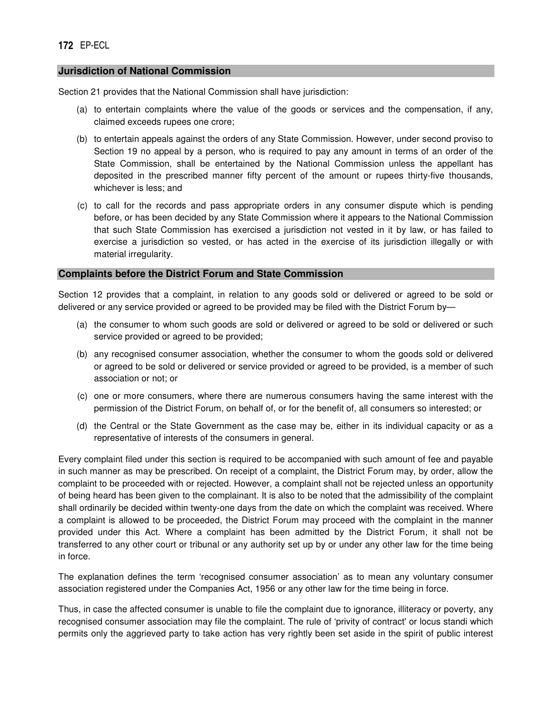#### **Jurisdiction of National Commission**

Section 21 provides that the National Commission shall have jurisdiction:

- (a) to entertain complaints where the value of the goods or services and the compensation, if any, claimed exceeds rupees one crore;
- (b) to entertain appeals against the orders of any State Commission. However, under second proviso to Section 19 no appeal by a person, who is required to pay any amount in terms of an order of the State Commission, shall be entertained by the National Commission unless the appellant has deposited in the prescribed manner fifty percent of the amount or rupees thirty-five thousands, whichever is less; and
- (c) to call for the records and pass appropriate orders in any consumer dispute which is pending before, or has been decided by any State Commission where it appears to the National Commission that such State Commission has exercised a jurisdiction not vested in it by law, or has failed to exercise a jurisdiction so vested, or has acted in the exercise of its jurisdiction illegally or with material irregularity.

#### **Complaints before the District Forum and State Commission**

Section 12 provides that a complaint, in relation to any goods sold or delivered or agreed to be sold or delivered or any service provided or agreed to be provided may be filed with the District Forum by—

- (a) the consumer to whom such goods are sold or delivered or agreed to be sold or delivered or such service provided or agreed to be provided;
- (b) any recognised consumer association, whether the consumer to whom the goods sold or delivered or agreed to be sold or delivered or service provided or agreed to be provided, is a member of such association or not; or
- (c) one or more consumers, where there are numerous consumers having the same interest with the permission of the District Forum, on behalf of, or for the benefit of, all consumers so interested; or
- (d) the Central or the State Government as the case may be, either in its individual capacity or as a representative of interests of the consumers in general.

Every complaint filed under this section is required to be accompanied with such amount of fee and payable in such manner as may be prescribed. On receipt of a complaint, the District Forum may, by order, allow the complaint to be proceeded with or rejected. However, a complaint shall not be rejected unless an opportunity of being heard has been given to the complainant. It is also to be noted that the admissibility of the complaint shall ordinarily be decided within twenty-one days from the date on which the complaint was received. Where a complaint is allowed to be proceeded, the District Forum may proceed with the complaint in the manner provided under this Act. Where a complaint has been admitted by the District Forum, it shall not be transferred to any other court or tribunal or any authority set up by or under any other law for the time being in force.

The explanation defines the term 'recognised consumer association' as to mean any voluntary consumer association registered under the Companies Act, 1956 or any other law for the time being in force.

Thus, in case the affected consumer is unable to file the complaint due to ignorance, illiteracy or poverty, any recognised consumer association may file the complaint. The rule of 'privity of contract' or locus standi which permits only the aggrieved party to take action has very rightly been set aside in the spirit of public interest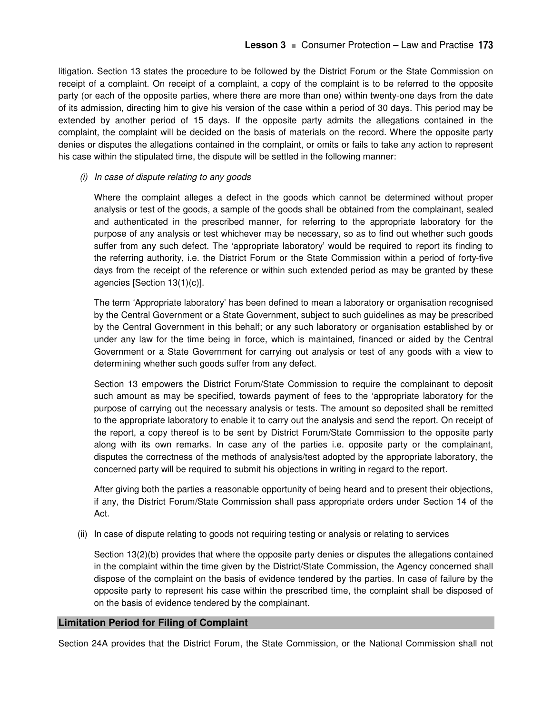litigation. Section 13 states the procedure to be followed by the District Forum or the State Commission on receipt of a complaint. On receipt of a complaint, a copy of the complaint is to be referred to the opposite party (or each of the opposite parties, where there are more than one) within twenty-one days from the date of its admission, directing him to give his version of the case within a period of 30 days. This period may be extended by another period of 15 days. If the opposite party admits the allegations contained in the complaint, the complaint will be decided on the basis of materials on the record. Where the opposite party denies or disputes the allegations contained in the complaint, or omits or fails to take any action to represent his case within the stipulated time, the dispute will be settled in the following manner:

#### *(i) In case of dispute relating to any goods*

 Where the complaint alleges a defect in the goods which cannot be determined without proper analysis or test of the goods, a sample of the goods shall be obtained from the complainant, sealed and authenticated in the prescribed manner, for referring to the appropriate laboratory for the purpose of any analysis or test whichever may be necessary, so as to find out whether such goods suffer from any such defect. The 'appropriate laboratory' would be required to report its finding to the referring authority, i.e. the District Forum or the State Commission within a period of forty-five days from the receipt of the reference or within such extended period as may be granted by these agencies [Section 13(1)(c)].

 The term 'Appropriate laboratory' has been defined to mean a laboratory or organisation recognised by the Central Government or a State Government, subject to such guidelines as may be prescribed by the Central Government in this behalf; or any such laboratory or organisation established by or under any law for the time being in force, which is maintained, financed or aided by the Central Government or a State Government for carrying out analysis or test of any goods with a view to determining whether such goods suffer from any defect.

 Section 13 empowers the District Forum/State Commission to require the complainant to deposit such amount as may be specified, towards payment of fees to the 'appropriate laboratory for the purpose of carrying out the necessary analysis or tests. The amount so deposited shall be remitted to the appropriate laboratory to enable it to carry out the analysis and send the report. On receipt of the report, a copy thereof is to be sent by District Forum/State Commission to the opposite party along with its own remarks. In case any of the parties i.e. opposite party or the complainant, disputes the correctness of the methods of analysis/test adopted by the appropriate laboratory, the concerned party will be required to submit his objections in writing in regard to the report.

 After giving both the parties a reasonable opportunity of being heard and to present their objections, if any, the District Forum/State Commission shall pass appropriate orders under Section 14 of the Act.

(ii) In case of dispute relating to goods not requiring testing or analysis or relating to services

 Section 13(2)(b) provides that where the opposite party denies or disputes the allegations contained in the complaint within the time given by the District/State Commission, the Agency concerned shall dispose of the complaint on the basis of evidence tendered by the parties. In case of failure by the opposite party to represent his case within the prescribed time, the complaint shall be disposed of on the basis of evidence tendered by the complainant.

#### **Limitation Period for Filing of Complaint**

Section 24A provides that the District Forum, the State Commission, or the National Commission shall not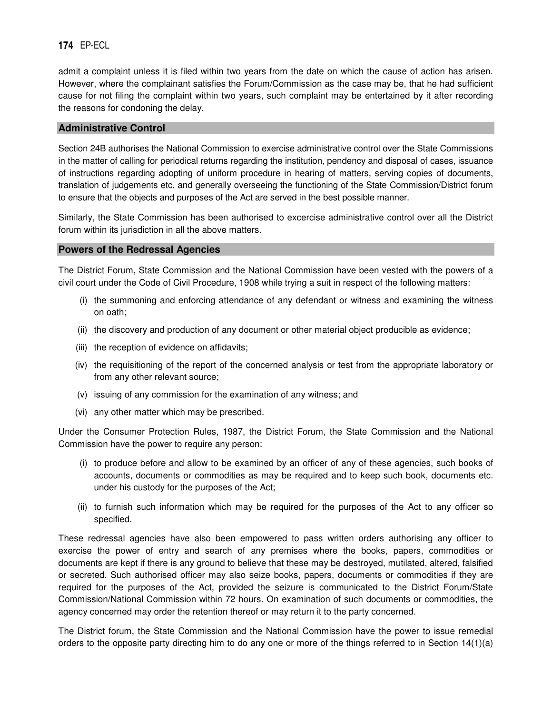admit a complaint unless it is filed within two years from the date on which the cause of action has arisen. However, where the complainant satisfies the Forum/Commission as the case may be, that he had sufficient cause for not filing the complaint within two years, such complaint may be entertained by it after recording the reasons for condoning the delay.

#### **Administrative Control**

Section 24B authorises the National Commission to exercise administrative control over the State Commissions in the matter of calling for periodical returns regarding the institution, pendency and disposal of cases, issuance of instructions regarding adopting of uniform procedure in hearing of matters, serving copies of documents, translation of judgements etc. and generally overseeing the functioning of the State Commission/District forum to ensure that the objects and purposes of the Act are served in the best possible manner.

Similarly, the State Commission has been authorised to excercise administrative control over all the District forum within its jurisdiction in all the above matters.

#### **Powers of the Redressal Agencies**

The District Forum, State Commission and the National Commission have been vested with the powers of a civil court under the Code of Civil Procedure, 1908 while trying a suit in respect of the following matters:

- (i) the summoning and enforcing attendance of any defendant or witness and examining the witness on oath;
- (ii) the discovery and production of any document or other material object producible as evidence;
- (iii) the reception of evidence on affidavits;
- (iv) the requisitioning of the report of the concerned analysis or test from the appropriate laboratory or from any other relevant source;
- (v) issuing of any commission for the examination of any witness; and
- (vi) any other matter which may be prescribed.

Under the Consumer Protection Rules, 1987, the District Forum, the State Commission and the National Commission have the power to require any person:

- (i) to produce before and allow to be examined by an officer of any of these agencies, such books of accounts, documents or commodities as may be required and to keep such book, documents etc. under his custody for the purposes of the Act;
- (ii) to furnish such information which may be required for the purposes of the Act to any officer so specified.

These redressal agencies have also been empowered to pass written orders authorising any officer to exercise the power of entry and search of any premises where the books, papers, commodities or documents are kept if there is any ground to believe that these may be destroyed, mutilated, altered, falsified or secreted. Such authorised officer may also seize books, papers, documents or commodities if they are required for the purposes of the Act, provided the seizure is communicated to the District Forum/State Commission/National Commission within 72 hours. On examination of such documents or commodities, the agency concerned may order the retention thereof or may return it to the party concerned.

The District forum, the State Commission and the National Commission have the power to issue remedial orders to the opposite party directing him to do any one or more of the things referred to in Section 14(1)(a)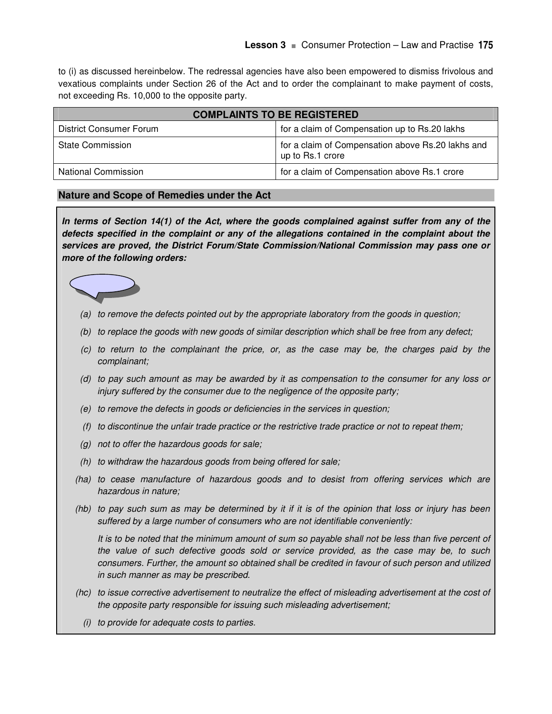to (i) as discussed hereinbelow. The redressal agencies have also been empowered to dismiss frivolous and vexatious complaints under Section 26 of the Act and to order the complainant to make payment of costs, not exceeding Rs. 10,000 to the opposite party.

| <b>COMPLAINTS TO BE REGISTERED</b> |                                                                       |
|------------------------------------|-----------------------------------------------------------------------|
| <b>District Consumer Forum</b>     | for a claim of Compensation up to Rs.20 lakhs                         |
| <b>State Commission</b>            | for a claim of Compensation above Rs.20 lakhs and<br>up to Rs.1 crore |
| <b>National Commission</b>         | for a claim of Compensation above Rs.1 crore                          |

#### **Nature and Scope of Remedies under the Act**

**In terms of Section 14(1) of the Act, where the goods complained against suffer from any of the defects specified in the complaint or any of the allegations contained in the complaint about the services are proved, the District Forum/State Commission/National Commission may pass one or more of the following orders:** 



- *(a) to remove the defects pointed out by the appropriate laboratory from the goods in question;*
- *(b) to replace the goods with new goods of similar description which shall be free from any defect;*
- *(c) to return to the complainant the price, or, as the case may be, the charges paid by the complainant;*
- *(d) to pay such amount as may be awarded by it as compensation to the consumer for any loss or injury suffered by the consumer due to the negligence of the opposite party;*
- *(e) to remove the defects in goods or deficiencies in the services in question;*
- *(f) to discontinue the unfair trade practice or the restrictive trade practice or not to repeat them;*
- *(g) not to offer the hazardous goods for sale;*
- *(h) to withdraw the hazardous goods from being offered for sale;*
- *(ha) to cease manufacture of hazardous goods and to desist from offering services which are hazardous in nature;*
- *(hb) to pay such sum as may be determined by it if it is of the opinion that loss or injury has been suffered by a large number of consumers who are not identifiable conveniently:*

It is to be noted that the minimum amount of sum so payable shall not be less than five percent of *the value of such defective goods sold or service provided, as the case may be, to such consumers. Further, the amount so obtained shall be credited in favour of such person and utilized in such manner as may be prescribed.* 

- *(hc) to issue corrective advertisement to neutralize the effect of misleading advertisement at the cost of the opposite party responsible for issuing such misleading advertisement;* 
	- *(i) to provide for adequate costs to parties.*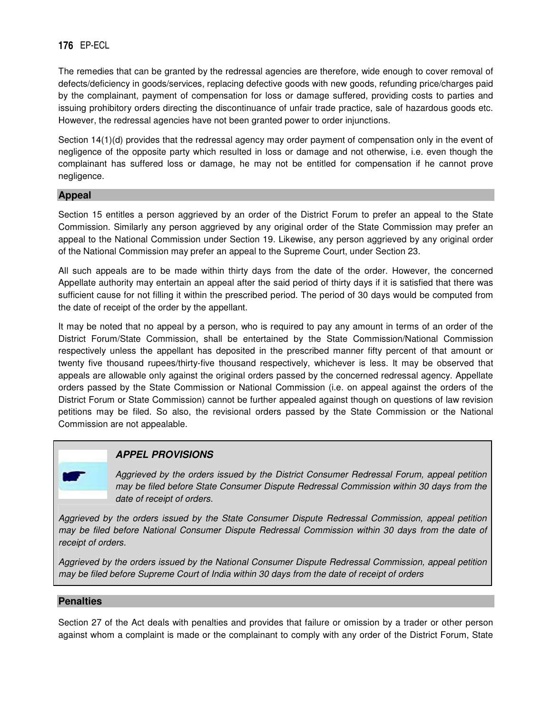The remedies that can be granted by the redressal agencies are therefore, wide enough to cover removal of defects/deficiency in goods/services, replacing defective goods with new goods, refunding price/charges paid by the complainant, payment of compensation for loss or damage suffered, providing costs to parties and issuing prohibitory orders directing the discontinuance of unfair trade practice, sale of hazardous goods etc. However, the redressal agencies have not been granted power to order injunctions.

Section 14(1)(d) provides that the redressal agency may order payment of compensation only in the event of negligence of the opposite party which resulted in loss or damage and not otherwise, i.e. even though the complainant has suffered loss or damage, he may not be entitled for compensation if he cannot prove negligence.

#### **Appeal**

Section 15 entitles a person aggrieved by an order of the District Forum to prefer an appeal to the State Commission. Similarly any person aggrieved by any original order of the State Commission may prefer an appeal to the National Commission under Section 19. Likewise, any person aggrieved by any original order of the National Commission may prefer an appeal to the Supreme Court, under Section 23.

All such appeals are to be made within thirty days from the date of the order. However, the concerned Appellate authority may entertain an appeal after the said period of thirty days if it is satisfied that there was sufficient cause for not filling it within the prescribed period. The period of 30 days would be computed from the date of receipt of the order by the appellant.

It may be noted that no appeal by a person, who is required to pay any amount in terms of an order of the District Forum/State Commission, shall be entertained by the State Commission/National Commission respectively unless the appellant has deposited in the prescribed manner fifty percent of that amount or twenty five thousand rupees/thirty-five thousand respectively, whichever is less. It may be observed that appeals are allowable only against the original orders passed by the concerned redressal agency. Appellate orders passed by the State Commission or National Commission (i.e. on appeal against the orders of the District Forum or State Commission) cannot be further appealed against though on questions of law revision petitions may be filed. So also, the revisional orders passed by the State Commission or the National Commission are not appealable.

# **APPEL PROVISIONS**

*Aggrieved by the orders issued by the District Consumer Redressal Forum, appeal petition may be filed before State Consumer Dispute Redressal Commission within 30 days from the date of receipt of orders.* 

*Aggrieved by the orders issued by the State Consumer Dispute Redressal Commission, appeal petition may be filed before National Consumer Dispute Redressal Commission within 30 days from the date of receipt of orders.* 

*Aggrieved by the orders issued by the National Consumer Dispute Redressal Commission, appeal petition may be filed before Supreme Court of India within 30 days from the date of receipt of orders* 

#### **Penalties**

Section 27 of the Act deals with penalties and provides that failure or omission by a trader or other person against whom a complaint is made or the complainant to comply with any order of the District Forum, State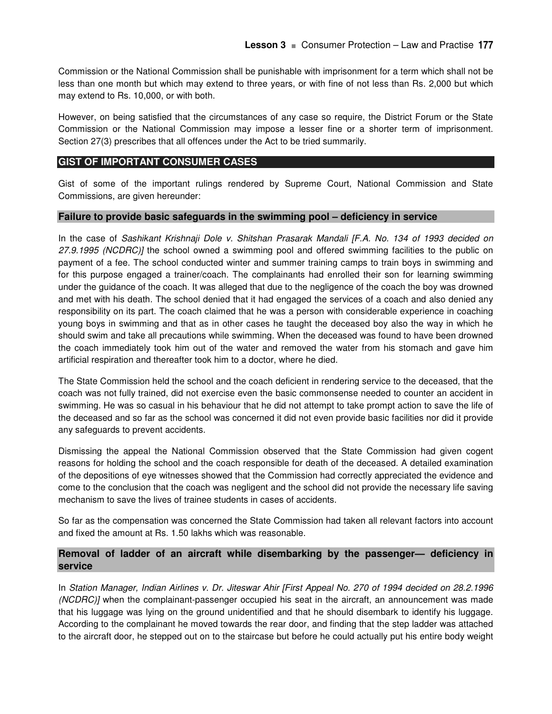Commission or the National Commission shall be punishable with imprisonment for a term which shall not be less than one month but which may extend to three years, or with fine of not less than Rs. 2,000 but which may extend to Rs. 10,000, or with both.

However, on being satisfied that the circumstances of any case so require, the District Forum or the State Commission or the National Commission may impose a lesser fine or a shorter term of imprisonment. Section 27(3) prescribes that all offences under the Act to be tried summarily.

#### **GIST OF IMPORTANT CONSUMER CASES**

Gist of some of the important rulings rendered by Supreme Court, National Commission and State Commissions, are given hereunder:

#### **Failure to provide basic safeguards in the swimming pool – deficiency in service**

In the case of *Sashikant Krishnaji Dole v. Shitshan Prasarak Mandali [F.A. No. 134 of 1993 decided on 27.9.1995 (NCDRC)]* the school owned a swimming pool and offered swimming facilities to the public on payment of a fee. The school conducted winter and summer training camps to train boys in swimming and for this purpose engaged a trainer/coach. The complainants had enrolled their son for learning swimming under the guidance of the coach. It was alleged that due to the negligence of the coach the boy was drowned and met with his death. The school denied that it had engaged the services of a coach and also denied any responsibility on its part. The coach claimed that he was a person with considerable experience in coaching young boys in swimming and that as in other cases he taught the deceased boy also the way in which he should swim and take all precautions while swimming. When the deceased was found to have been drowned the coach immediately took him out of the water and removed the water from his stomach and gave him artificial respiration and thereafter took him to a doctor, where he died.

The State Commission held the school and the coach deficient in rendering service to the deceased, that the coach was not fully trained, did not exercise even the basic commonsense needed to counter an accident in swimming. He was so casual in his behaviour that he did not attempt to take prompt action to save the life of the deceased and so far as the school was concerned it did not even provide basic facilities nor did it provide any safeguards to prevent accidents.

Dismissing the appeal the National Commission observed that the State Commission had given cogent reasons for holding the school and the coach responsible for death of the deceased. A detailed examination of the depositions of eye witnesses showed that the Commission had correctly appreciated the evidence and come to the conclusion that the coach was negligent and the school did not provide the necessary life saving mechanism to save the lives of trainee students in cases of accidents.

So far as the compensation was concerned the State Commission had taken all relevant factors into account and fixed the amount at Rs. 1.50 lakhs which was reasonable.

# **Removal of ladder of an aircraft while disembarking by the passenger— deficiency in service**

In *Station Manager, Indian Airlines v. Dr. Jiteswar Ahir [First Appeal No. 270 of 1994 decided on 28.2.1996 (NCDRC)]* when the complainant-passenger occupied his seat in the aircraft, an announcement was made that his luggage was lying on the ground unidentified and that he should disembark to identify his luggage. According to the complainant he moved towards the rear door, and finding that the step ladder was attached to the aircraft door, he stepped out on to the staircase but before he could actually put his entire body weight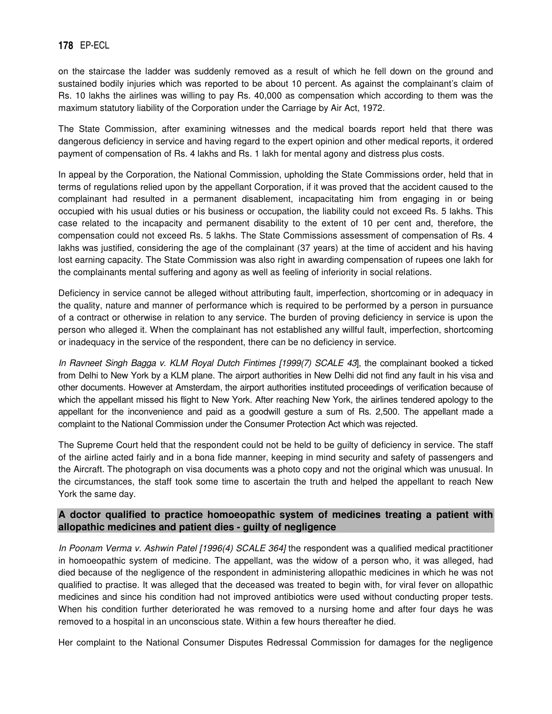on the staircase the ladder was suddenly removed as a result of which he fell down on the ground and sustained bodily injuries which was reported to be about 10 percent. As against the complainant's claim of Rs. 10 lakhs the airlines was willing to pay Rs. 40,000 as compensation which according to them was the maximum statutory liability of the Corporation under the Carriage by Air Act, 1972.

The State Commission, after examining witnesses and the medical boards report held that there was dangerous deficiency in service and having regard to the expert opinion and other medical reports, it ordered payment of compensation of Rs. 4 lakhs and Rs. 1 lakh for mental agony and distress plus costs.

In appeal by the Corporation, the National Commission, upholding the State Commissions order, held that in terms of regulations relied upon by the appellant Corporation, if it was proved that the accident caused to the complainant had resulted in a permanent disablement, incapacitating him from engaging in or being occupied with his usual duties or his business or occupation, the liability could not exceed Rs. 5 lakhs. This case related to the incapacity and permanent disability to the extent of 10 per cent and, therefore, the compensation could not exceed Rs. 5 lakhs. The State Commissions assessment of compensation of Rs. 4 lakhs was justified, considering the age of the complainant (37 years) at the time of accident and his having lost earning capacity. The State Commission was also right in awarding compensation of rupees one lakh for the complainants mental suffering and agony as well as feeling of inferiority in social relations.

Deficiency in service cannot be alleged without attributing fault, imperfection, shortcoming or in adequacy in the quality, nature and manner of performance which is required to be performed by a person in pursuance of a contract or otherwise in relation to any service. The burden of proving deficiency in service is upon the person who alleged it. When the complainant has not established any willful fault, imperfection, shortcoming or inadequacy in the service of the respondent, there can be no deficiency in service.

*In Ravneet Singh Bagga v. KLM Royal Dutch Fintimes [1999(7) SCALE 43*], the complainant booked a ticked from Delhi to New York by a KLM plane. The airport authorities in New Delhi did not find any fault in his visa and other documents. However at Amsterdam, the airport authorities instituted proceedings of verification because of which the appellant missed his flight to New York. After reaching New York, the airlines tendered apology to the appellant for the inconvenience and paid as a goodwill gesture a sum of Rs. 2,500. The appellant made a complaint to the National Commission under the Consumer Protection Act which was rejected.

The Supreme Court held that the respondent could not be held to be guilty of deficiency in service. The staff of the airline acted fairly and in a bona fide manner, keeping in mind security and safety of passengers and the Aircraft. The photograph on visa documents was a photo copy and not the original which was unusual. In the circumstances, the staff took some time to ascertain the truth and helped the appellant to reach New York the same day.

# **A doctor qualified to practice homoeopathic system of medicines treating a patient with allopathic medicines and patient dies - guilty of negligence**

*In Poonam Verma v. Ashwin Patel [1996(4) SCALE 364]* the respondent was a qualified medical practitioner in homoeopathic system of medicine. The appellant, was the widow of a person who, it was alleged, had died because of the negligence of the respondent in administering allopathic medicines in which he was not qualified to practise. It was alleged that the deceased was treated to begin with, for viral fever on allopathic medicines and since his condition had not improved antibiotics were used without conducting proper tests. When his condition further deteriorated he was removed to a nursing home and after four days he was removed to a hospital in an unconscious state. Within a few hours thereafter he died.

Her complaint to the National Consumer Disputes Redressal Commission for damages for the negligence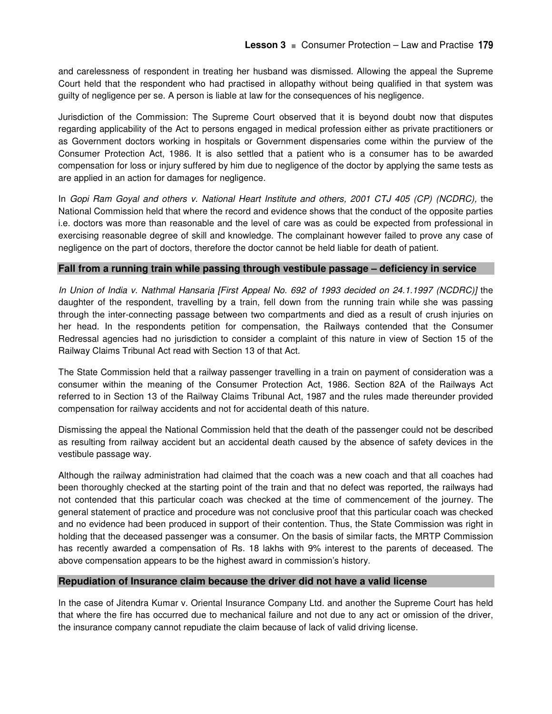and carelessness of respondent in treating her husband was dismissed. Allowing the appeal the Supreme Court held that the respondent who had practised in allopathy without being qualified in that system was guilty of negligence per se. A person is liable at law for the consequences of his negligence.

Jurisdiction of the Commission: The Supreme Court observed that it is beyond doubt now that disputes regarding applicability of the Act to persons engaged in medical profession either as private practitioners or as Government doctors working in hospitals or Government dispensaries come within the purview of the Consumer Protection Act, 1986. It is also settled that a patient who is a consumer has to be awarded compensation for loss or injury suffered by him due to negligence of the doctor by applying the same tests as are applied in an action for damages for negligence.

In *Gopi Ram Goyal and others v. National Heart Institute and others, 2001 CTJ 405 (CP) (NCDRC),* the National Commission held that where the record and evidence shows that the conduct of the opposite parties i.e. doctors was more than reasonable and the level of care was as could be expected from professional in exercising reasonable degree of skill and knowledge. The complainant however failed to prove any case of negligence on the part of doctors, therefore the doctor cannot be held liable for death of patient.

# **Fall from a running train while passing through vestibule passage – deficiency in service**

*In Union of India v. Nathmal Hansaria [First Appeal No. 692 of 1993 decided on 24.1.1997 (NCDRC)]* the daughter of the respondent, travelling by a train, fell down from the running train while she was passing through the inter-connecting passage between two compartments and died as a result of crush injuries on her head. In the respondents petition for compensation, the Railways contended that the Consumer Redressal agencies had no jurisdiction to consider a complaint of this nature in view of Section 15 of the Railway Claims Tribunal Act read with Section 13 of that Act.

The State Commission held that a railway passenger travelling in a train on payment of consideration was a consumer within the meaning of the Consumer Protection Act, 1986. Section 82A of the Railways Act referred to in Section 13 of the Railway Claims Tribunal Act, 1987 and the rules made thereunder provided compensation for railway accidents and not for accidental death of this nature.

Dismissing the appeal the National Commission held that the death of the passenger could not be described as resulting from railway accident but an accidental death caused by the absence of safety devices in the vestibule passage way.

Although the railway administration had claimed that the coach was a new coach and that all coaches had been thoroughly checked at the starting point of the train and that no defect was reported, the railways had not contended that this particular coach was checked at the time of commencement of the journey. The general statement of practice and procedure was not conclusive proof that this particular coach was checked and no evidence had been produced in support of their contention. Thus, the State Commission was right in holding that the deceased passenger was a consumer. On the basis of similar facts, the MRTP Commission has recently awarded a compensation of Rs. 18 lakhs with 9% interest to the parents of deceased. The above compensation appears to be the highest award in commission's history.

#### **Repudiation of Insurance claim because the driver did not have a valid license**

In the case of Jitendra Kumar v. Oriental Insurance Company Ltd. and another the Supreme Court has held that where the fire has occurred due to mechanical failure and not due to any act or omission of the driver, the insurance company cannot repudiate the claim because of lack of valid driving license.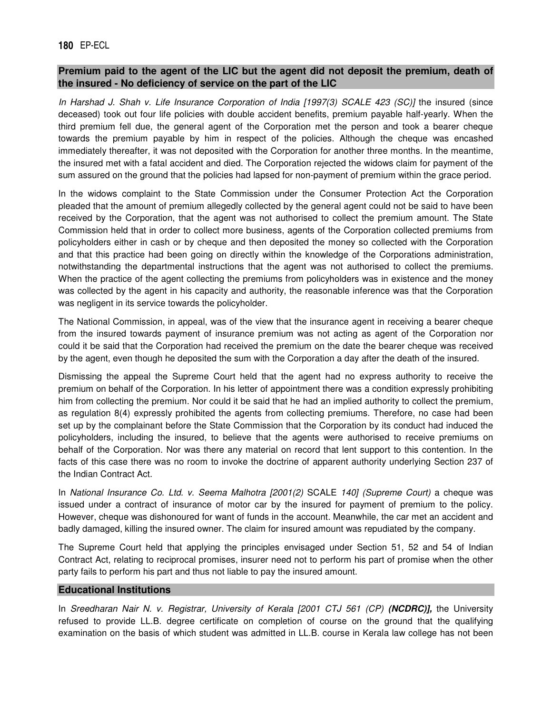# **Premium paid to the agent of the LIC but the agent did not deposit the premium, death of the insured - No deficiency of service on the part of the LIC**

*In Harshad J. Shah v. Life Insurance Corporation of India [1997(3) SCALE 423 (SC)]* the insured (since deceased) took out four life policies with double accident benefits, premium payable half-yearly. When the third premium fell due, the general agent of the Corporation met the person and took a bearer cheque towards the premium payable by him in respect of the policies. Although the cheque was encashed immediately thereafter, it was not deposited with the Corporation for another three months. In the meantime, the insured met with a fatal accident and died. The Corporation rejected the widows claim for payment of the sum assured on the ground that the policies had lapsed for non-payment of premium within the grace period.

In the widows complaint to the State Commission under the Consumer Protection Act the Corporation pleaded that the amount of premium allegedly collected by the general agent could not be said to have been received by the Corporation, that the agent was not authorised to collect the premium amount. The State Commission held that in order to collect more business, agents of the Corporation collected premiums from policyholders either in cash or by cheque and then deposited the money so collected with the Corporation and that this practice had been going on directly within the knowledge of the Corporations administration, notwithstanding the departmental instructions that the agent was not authorised to collect the premiums. When the practice of the agent collecting the premiums from policyholders was in existence and the money was collected by the agent in his capacity and authority, the reasonable inference was that the Corporation was negligent in its service towards the policyholder.

The National Commission, in appeal, was of the view that the insurance agent in receiving a bearer cheque from the insured towards payment of insurance premium was not acting as agent of the Corporation nor could it be said that the Corporation had received the premium on the date the bearer cheque was received by the agent, even though he deposited the sum with the Corporation a day after the death of the insured.

Dismissing the appeal the Supreme Court held that the agent had no express authority to receive the premium on behalf of the Corporation. In his letter of appointment there was a condition expressly prohibiting him from collecting the premium. Nor could it be said that he had an implied authority to collect the premium, as regulation 8(4) expressly prohibited the agents from collecting premiums. Therefore, no case had been set up by the complainant before the State Commission that the Corporation by its conduct had induced the policyholders, including the insured, to believe that the agents were authorised to receive premiums on behalf of the Corporation. Nor was there any material on record that lent support to this contention. In the facts of this case there was no room to invoke the doctrine of apparent authority underlying Section 237 of the Indian Contract Act.

In *National Insurance Co. Ltd. v. Seema Malhotra [2001(2)* SCALE *140] (Supreme Court)* a cheque was issued under a contract of insurance of motor car by the insured for payment of premium to the policy. However, cheque was dishonoured for want of funds in the account. Meanwhile, the car met an accident and badly damaged, killing the insured owner. The claim for insured amount was repudiated by the company.

The Supreme Court held that applying the principles envisaged under Section 51, 52 and 54 of Indian Contract Act, relating to reciprocal promises, insurer need not to perform his part of promise when the other party fails to perform his part and thus not liable to pay the insured amount.

#### **Educational Institutions**

In *Sreedharan Nair N. v. Registrar, University of Kerala [2001 CTJ 561 (CP)* **(NCDRC)],** the University refused to provide LL.B. degree certificate on completion of course on the ground that the qualifying examination on the basis of which student was admitted in LL.B. course in Kerala law college has not been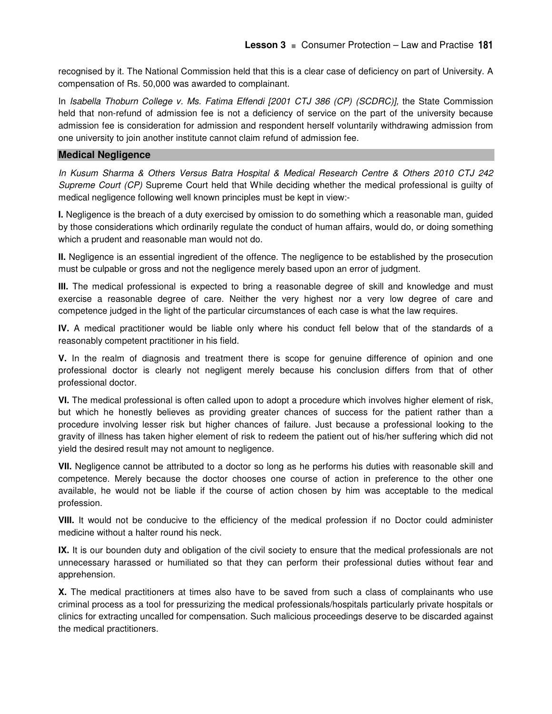recognised by it. The National Commission held that this is a clear case of deficiency on part of University. A compensation of Rs. 50,000 was awarded to complainant.

In *Isabella Thoburn College v. Ms. Fatima Effendi [2001 CTJ 386 (CP) (SCDRC)],* the State Commission held that non-refund of admission fee is not a deficiency of service on the part of the university because admission fee is consideration for admission and respondent herself voluntarily withdrawing admission from one university to join another institute cannot claim refund of admission fee.

#### **Medical Negligence**

*In Kusum Sharma & Others Versus Batra Hospital & Medical Research Centre & Others 2010 CTJ 242 Supreme Court (CP)* Supreme Court held that While deciding whether the medical professional is guilty of medical negligence following well known principles must be kept in view:-

**I.** Negligence is the breach of a duty exercised by omission to do something which a reasonable man, guided by those considerations which ordinarily regulate the conduct of human affairs, would do, or doing something which a prudent and reasonable man would not do.

**II.** Negligence is an essential ingredient of the offence. The negligence to be established by the prosecution must be culpable or gross and not the negligence merely based upon an error of judgment.

**III.** The medical professional is expected to bring a reasonable degree of skill and knowledge and must exercise a reasonable degree of care. Neither the very highest nor a very low degree of care and competence judged in the light of the particular circumstances of each case is what the law requires.

**IV.** A medical practitioner would be liable only where his conduct fell below that of the standards of a reasonably competent practitioner in his field.

**V.** In the realm of diagnosis and treatment there is scope for genuine difference of opinion and one professional doctor is clearly not negligent merely because his conclusion differs from that of other professional doctor.

**VI.** The medical professional is often called upon to adopt a procedure which involves higher element of risk, but which he honestly believes as providing greater chances of success for the patient rather than a procedure involving lesser risk but higher chances of failure. Just because a professional looking to the gravity of illness has taken higher element of risk to redeem the patient out of his/her suffering which did not yield the desired result may not amount to negligence.

**VII.** Negligence cannot be attributed to a doctor so long as he performs his duties with reasonable skill and competence. Merely because the doctor chooses one course of action in preference to the other one available, he would not be liable if the course of action chosen by him was acceptable to the medical profession.

**VIII.** It would not be conducive to the efficiency of the medical profession if no Doctor could administer medicine without a halter round his neck.

**IX.** It is our bounden duty and obligation of the civil society to ensure that the medical professionals are not unnecessary harassed or humiliated so that they can perform their professional duties without fear and apprehension.

**X.** The medical practitioners at times also have to be saved from such a class of complainants who use criminal process as a tool for pressurizing the medical professionals/hospitals particularly private hospitals or clinics for extracting uncalled for compensation. Such malicious proceedings deserve to be discarded against the medical practitioners.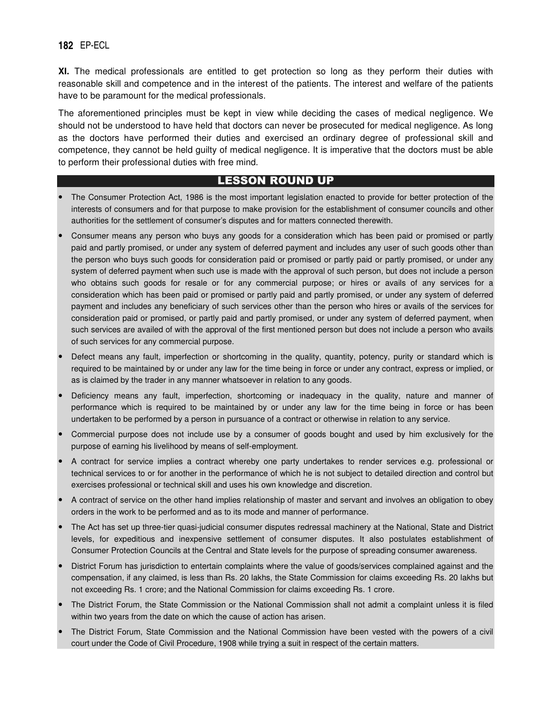**XI.** The medical professionals are entitled to get protection so long as they perform their duties with reasonable skill and competence and in the interest of the patients. The interest and welfare of the patients have to be paramount for the medical professionals.

The aforementioned principles must be kept in view while deciding the cases of medical negligence. We should not be understood to have held that doctors can never be prosecuted for medical negligence. As long as the doctors have performed their duties and exercised an ordinary degree of professional skill and competence, they cannot be held guilty of medical negligence. It is imperative that the doctors must be able to perform their professional duties with free mind.

# **LESSON ROUND UP**

- The Consumer Protection Act, 1986 is the most important legislation enacted to provide for better protection of the interests of consumers and for that purpose to make provision for the establishment of consumer councils and other authorities for the settlement of consumer's disputes and for matters connected therewith.
- Consumer means any person who buys any goods for a consideration which has been paid or promised or partly paid and partly promised, or under any system of deferred payment and includes any user of such goods other than the person who buys such goods for consideration paid or promised or partly paid or partly promised, or under any system of deferred payment when such use is made with the approval of such person, but does not include a person who obtains such goods for resale or for any commercial purpose; or hires or avails of any services for a consideration which has been paid or promised or partly paid and partly promised, or under any system of deferred payment and includes any beneficiary of such services other than the person who hires or avails of the services for consideration paid or promised, or partly paid and partly promised, or under any system of deferred payment, when such services are availed of with the approval of the first mentioned person but does not include a person who avails of such services for any commercial purpose.
- Defect means any fault, imperfection or shortcoming in the quality, quantity, potency, purity or standard which is required to be maintained by or under any law for the time being in force or under any contract, express or implied, or as is claimed by the trader in any manner whatsoever in relation to any goods.
- Deficiency means any fault, imperfection, shortcoming or inadequacy in the quality, nature and manner of performance which is required to be maintained by or under any law for the time being in force or has been undertaken to be performed by a person in pursuance of a contract or otherwise in relation to any service.
- Commercial purpose does not include use by a consumer of goods bought and used by him exclusively for the purpose of earning his livelihood by means of self-employment.
- A contract for service implies a contract whereby one party undertakes to render services e.g. professional or technical services to or for another in the performance of which he is not subject to detailed direction and control but exercises professional or technical skill and uses his own knowledge and discretion.
- A contract of service on the other hand implies relationship of master and servant and involves an obligation to obey orders in the work to be performed and as to its mode and manner of performance.
- The Act has set up three-tier quasi-judicial consumer disputes redressal machinery at the National, State and District levels, for expeditious and inexpensive settlement of consumer disputes. It also postulates establishment of Consumer Protection Councils at the Central and State levels for the purpose of spreading consumer awareness.
- District Forum has jurisdiction to entertain complaints where the value of goods/services complained against and the compensation, if any claimed, is less than Rs. 20 lakhs, the State Commission for claims exceeding Rs. 20 lakhs but not exceeding Rs. 1 crore; and the National Commission for claims exceeding Rs. 1 crore.
- The District Forum, the State Commission or the National Commission shall not admit a complaint unless it is filed within two years from the date on which the cause of action has arisen.
- The District Forum, State Commission and the National Commission have been vested with the powers of a civil court under the Code of Civil Procedure, 1908 while trying a suit in respect of the certain matters.